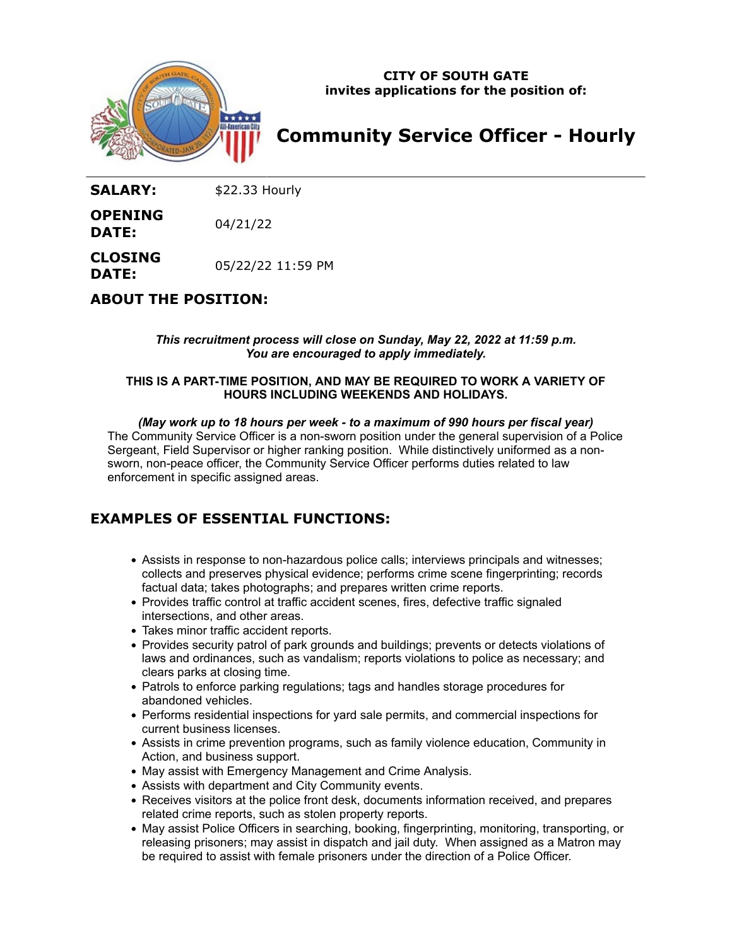

**CITY OF SOUTH GATE invites applications for the position of:**

# **Community Service Officer - Hourly**

SALARY: \$22.33 Hourly

**OPENING DATE:** 04/21/22

**CLOSING DATE:** 05/22/22 11:59 PM

**ABOUT THE POSITION:**

*This recruitment process will close on Sunday, May 22, 2022 at 11:59 p.m. You are encouraged to apply immediately.*

### **THIS IS A PART-TIME POSITION, AND MAY BE REQUIRED TO WORK A VARIETY OF HOURS INCLUDING WEEKENDS AND HOLIDAYS.**

### *(May work up to 18 hours per week - to a maximum of 990 hours per fiscal year)*

The Community Service Officer is a non-sworn position under the general supervision of a Police Sergeant, Field Supervisor or higher ranking position. While distinctively uniformed as a nonsworn, non-peace officer, the Community Service Officer performs duties related to law enforcement in specific assigned areas.

# **EXAMPLES OF ESSENTIAL FUNCTIONS:**

- Assists in response to non-hazardous police calls; interviews principals and witnesses; collects and preserves physical evidence; performs crime scene fingerprinting; records factual data; takes photographs; and prepares written crime reports.
- Provides traffic control at traffic accident scenes, fires, defective traffic signaled intersections, and other areas.
- Takes minor traffic accident reports.
- Provides security patrol of park grounds and buildings; prevents or detects violations of laws and ordinances, such as vandalism; reports violations to police as necessary; and clears parks at closing time.
- Patrols to enforce parking regulations; tags and handles storage procedures for abandoned vehicles.
- Performs residential inspections for yard sale permits, and commercial inspections for current business licenses.
- Assists in crime prevention programs, such as family violence education, Community in Action, and business support.
- May assist with Emergency Management and Crime Analysis.
- Assists with department and City Community events.
- Receives visitors at the police front desk, documents information received, and prepares related crime reports, such as stolen property reports.
- May assist Police Officers in searching, booking, fingerprinting, monitoring, transporting, or releasing prisoners; may assist in dispatch and jail duty. When assigned as a Matron may be required to assist with female prisoners under the direction of a Police Officer.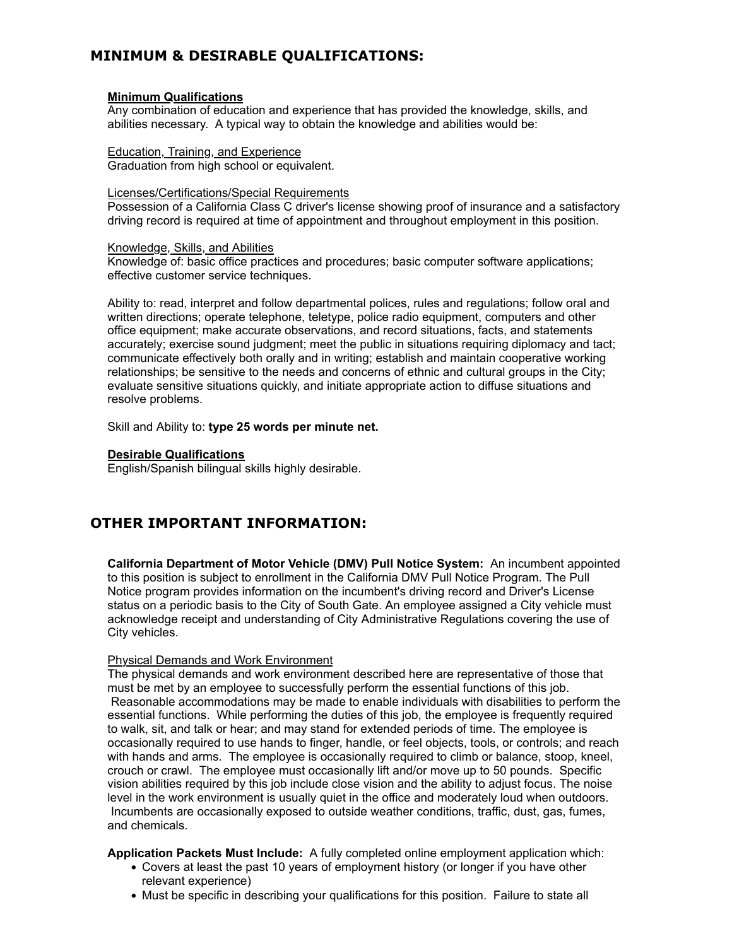# **MINIMUM & DESIRABLE QUALIFICATIONS:**

#### **Minimum Qualifications**

Any combination of education and experience that has provided the knowledge, skills, and abilities necessary. A typical way to obtain the knowledge and abilities would be:

Education, Training, and Experience Graduation from high school or equivalent.

#### Licenses/Certifications/Special Requirements

Possession of a California Class C driver's license showing proof of insurance and a satisfactory driving record is required at time of appointment and throughout employment in this position.

#### Knowledge, Skills, and Abilities

Knowledge of: basic office practices and procedures; basic computer software applications; effective customer service techniques.

Ability to: read, interpret and follow departmental polices, rules and regulations; follow oral and written directions; operate telephone, teletype, police radio equipment, computers and other office equipment; make accurate observations, and record situations, facts, and statements accurately; exercise sound judgment; meet the public in situations requiring diplomacy and tact; communicate effectively both orally and in writing; establish and maintain cooperative working relationships; be sensitive to the needs and concerns of ethnic and cultural groups in the City; evaluate sensitive situations quickly, and initiate appropriate action to diffuse situations and resolve problems.

Skill and Ability to: **type 25 words per minute net.**

#### **Desirable Qualifications**

English/Spanish bilingual skills highly desirable.

# **OTHER IMPORTANT INFORMATION:**

**California Department of Motor Vehicle (DMV) Pull Notice System:** An incumbent appointed to this position is subject to enrollment in the California DMV Pull Notice Program. The Pull Notice program provides information on the incumbent's driving record and Driver's License status on a periodic basis to the City of South Gate. An employee assigned a City vehicle must acknowledge receipt and understanding of City Administrative Regulations covering the use of City vehicles.

#### Physical Demands and Work Environment

The physical demands and work environment described here are representative of those that must be met by an employee to successfully perform the essential functions of this job. Reasonable accommodations may be made to enable individuals with disabilities to perform the essential functions. While performing the duties of this job, the employee is frequently required to walk, sit, and talk or hear; and may stand for extended periods of time. The employee is occasionally required to use hands to finger, handle, or feel objects, tools, or controls; and reach with hands and arms. The employee is occasionally required to climb or balance, stoop, kneel, crouch or crawl. The employee must occasionally lift and/or move up to 50 pounds. Specific vision abilities required by this job include close vision and the ability to adjust focus. The noise level in the work environment is usually quiet in the office and moderately loud when outdoors. Incumbents are occasionally exposed to outside weather conditions, traffic, dust, gas, fumes, and chemicals.

#### **Application Packets Must Include:** A fully completed online employment application which:

- Covers at least the past 10 years of employment history (or longer if you have other relevant experience)
- Must be specific in describing your qualifications for this position. Failure to state all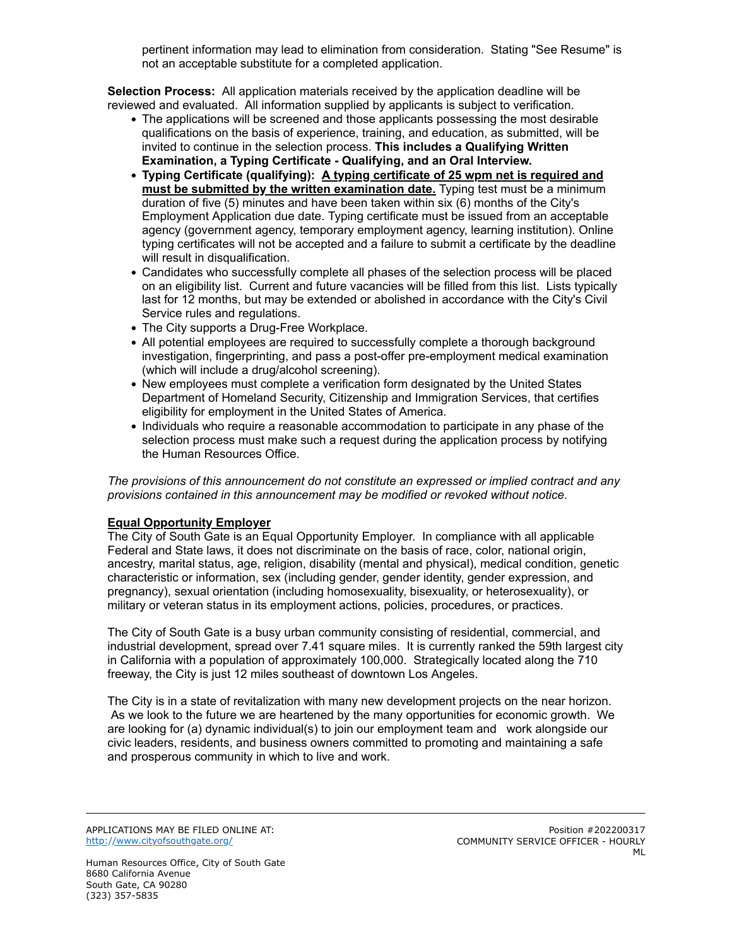pertinent information may lead to elimination from consideration. Stating "See Resume" is not an acceptable substitute for a completed application.

**Selection Process:** All application materials received by the application deadline will be reviewed and evaluated. All information supplied by applicants is subject to verification.

- The applications will be screened and those applicants possessing the most desirable qualifications on the basis of experience, training, and education, as submitted, will be invited to continue in the selection process. **This includes a Qualifying Written Examination, a Typing Certificate - Qualifying, and an Oral Interview.**
- **Typing Certificate (qualifying): A typing certificate of 25 wpm net is required and must be submitted by the written examination date.** Typing test must be a minimum duration of five (5) minutes and have been taken within six (6) months of the City's Employment Application due date. Typing certificate must be issued from an acceptable agency (government agency, temporary employment agency, learning institution). Online typing certificates will not be accepted and a failure to submit a certificate by the deadline will result in disqualification.
- Candidates who successfully complete all phases of the selection process will be placed on an eligibility list. Current and future vacancies will be filled from this list. Lists typically last for 12 months, but may be extended or abolished in accordance with the City's Civil Service rules and regulations.
- The City supports a Drug-Free Workplace.
- All potential employees are required to successfully complete a thorough background investigation, fingerprinting, and pass a post-offer pre-employment medical examination (which will include a drug/alcohol screening).
- New employees must complete a verification form designated by the United States Department of Homeland Security, Citizenship and Immigration Services, that certifies eligibility for employment in the United States of America.
- Individuals who require a reasonable accommodation to participate in any phase of the selection process must make such a request during the application process by notifying the Human Resources Office.

*The provisions of this announcement do not constitute an expressed or implied contract and any provisions contained in this announcement may be modified or revoked without notice.*

# **Equal Opportunity Employer**

The City of South Gate is an Equal Opportunity Employer. In compliance with all applicable Federal and State laws, it does not discriminate on the basis of race, color, national origin, ancestry, marital status, age, religion, disability (mental and physical), medical condition, genetic characteristic or information, sex (including gender, gender identity, gender expression, and pregnancy), sexual orientation (including homosexuality, bisexuality, or heterosexuality), or military or veteran status in its employment actions, policies, procedures, or practices.

The City of South Gate is a busy urban community consisting of residential, commercial, and industrial development, spread over 7.41 square miles. It is currently ranked the 59th largest city in California with a population of approximately 100,000. Strategically located along the 710 freeway, the City is just 12 miles southeast of downtown Los Angeles.

The City is in a state of revitalization with many new development projects on the near horizon. As we look to the future we are heartened by the many opportunities for economic growth. We are looking for (a) dynamic individual(s) to join our employment team and work alongside our civic leaders, residents, and business owners committed to promoting and maintaining a safe and prosperous community in which to live and work.

APPLICATIONS MAY BE FILED ONLINE AT: <http://www.cityofsouthgate.org/>